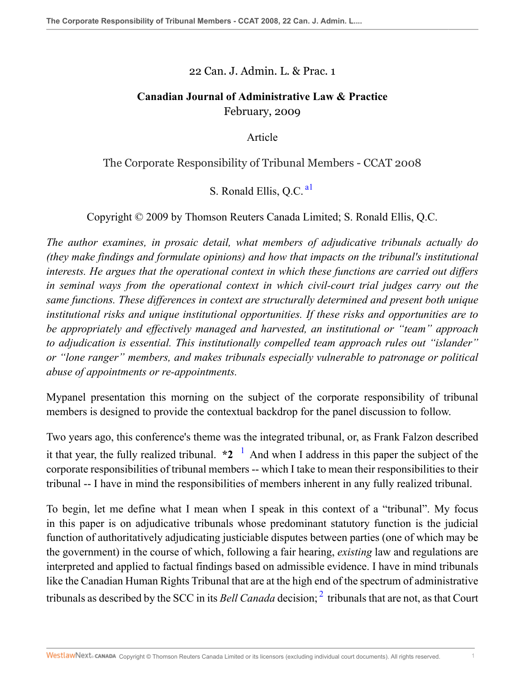22 Can. J. Admin. L. & Prac. 1

## **Canadian Journal of Administrative Law & Practice** February, 2009

<span id="page-0-0"></span>Article

## The Corporate Responsibility of Tribunal Members - CCAT 2008

S. Ronald Ellis, O.C.<sup>[a1](#page-13-0)</sup>

Copyright © 2009 by Thomson Reuters Canada Limited; S. Ronald Ellis, Q.C.

*The author examines, in prosaic detail, what members of adjudicative tribunals actually do (they make findings and formulate opinions) and how that impacts on the tribunal's institutional interests. He argues that the operational context in which these functions are carried out differs in seminal ways from the operational context in which civil-court trial judges carry out the same functions. These differences in context are structurally determined and present both unique institutional risks and unique institutional opportunities. If these risks and opportunities are to be appropriately and effectively managed and harvested, an institutional or "team" approach to adjudication is essential. This institutionally compelled team approach rules out "islander" or "lone ranger" members, and makes tribunals especially vulnerable to patronage or political abuse of appointments or re-appointments.*

Mypanel presentation this morning on the subject of the corporate responsibility of tribunal members is designed to provide the contextual backdrop for the panel discussion to follow.

<span id="page-0-1"></span>Two years ago, this conference's theme was the integrated tribunal, or, as Frank Falzon described it that year, the fully realized tribunal.  $*2^{-1}$  $*2^{-1}$  $*2^{-1}$  And when I address in this paper the subject of the corporate responsibilities of tribunal members -- which I take to mean their responsibilities to their tribunal -- I have in mind the responsibilities of members inherent in any fully realized tribunal.

<span id="page-0-2"></span>To begin, let me define what I mean when I speak in this context of a "tribunal". My focus in this paper is on adjudicative tribunals whose predominant statutory function is the judicial function of authoritatively adjudicating justiciable disputes between parties (one of which may be the government) in the course of which, following a fair hearing, *existing* law and regulations are interpreted and applied to factual findings based on admissible evidence. I have in mind tribunals like the Canadian Human Rights Tribunal that are at the high end of the spectrum of administrative tribunals as described by the SCC in its *Bell Canada* decision; [2](#page-13-2) tribunals that are not, as that Court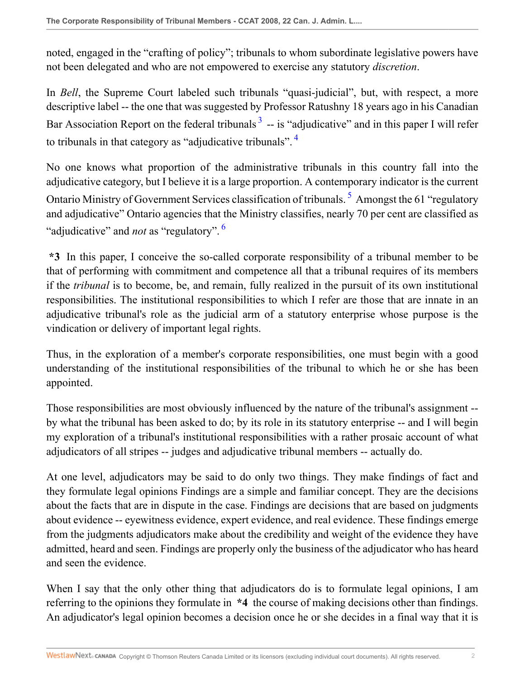noted, engaged in the "crafting of policy"; tribunals to whom subordinate legislative powers have not been delegated and who are not empowered to exercise any statutory *discretion*.

<span id="page-1-0"></span>In *Bell*, the Supreme Court labeled such tribunals "quasi-judicial", but, with respect, a more descriptive label -- the one that was suggested by Professor Ratushny 18 years ago in his Canadian Bar Association Report on the federal tribunals  $3$  -- is "adjudicative" and in this paper I will refer to tribunals in that category as "adjudicative tribunals". [4](#page-13-4)

<span id="page-1-2"></span><span id="page-1-1"></span>No one knows what proportion of the administrative tribunals in this country fall into the adjudicative category, but I believe it is a large proportion. A contemporary indicator is the current Ontario Ministry of Government Services classification of tribunals.<sup>[5](#page-13-5)</sup> Amongst the 61 "regulatory and adjudicative" Ontario agencies that the Ministry classifies, nearly 70 per cent are classified as "adjudicative" and *not* as "regulatory". [6](#page-13-6)

<span id="page-1-3"></span>**\*3** In this paper, I conceive the so-called corporate responsibility of a tribunal member to be that of performing with commitment and competence all that a tribunal requires of its members if the *tribunal* is to become, be, and remain, fully realized in the pursuit of its own institutional responsibilities. The institutional responsibilities to which I refer are those that are innate in an adjudicative tribunal's role as the judicial arm of a statutory enterprise whose purpose is the vindication or delivery of important legal rights.

Thus, in the exploration of a member's corporate responsibilities, one must begin with a good understanding of the institutional responsibilities of the tribunal to which he or she has been appointed.

Those responsibilities are most obviously influenced by the nature of the tribunal's assignment - by what the tribunal has been asked to do; by its role in its statutory enterprise -- and I will begin my exploration of a tribunal's institutional responsibilities with a rather prosaic account of what adjudicators of all stripes -- judges and adjudicative tribunal members -- actually do.

At one level, adjudicators may be said to do only two things. They make findings of fact and they formulate legal opinions Findings are a simple and familiar concept. They are the decisions about the facts that are in dispute in the case. Findings are decisions that are based on judgments about evidence -- eyewitness evidence, expert evidence, and real evidence. These findings emerge from the judgments adjudicators make about the credibility and weight of the evidence they have admitted, heard and seen. Findings are properly only the business of the adjudicator who has heard and seen the evidence.

When I say that the only other thing that adjudicators do is to formulate legal opinions, I am referring to the opinions they formulate in **\*4** the course of making decisions other than findings. An adjudicator's legal opinion becomes a decision once he or she decides in a final way that it is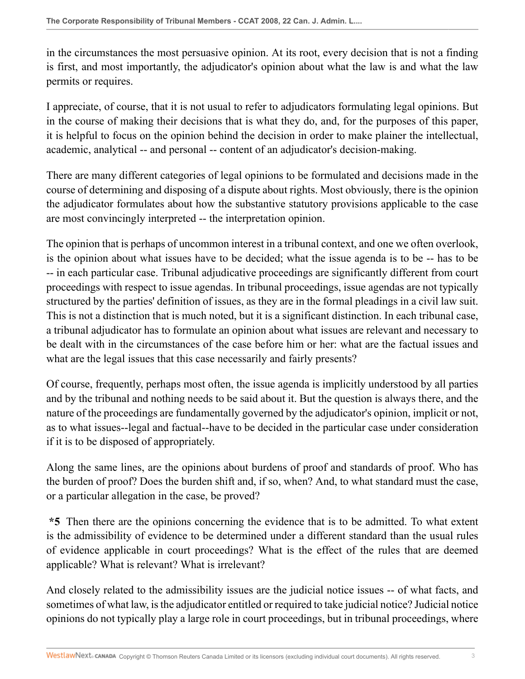in the circumstances the most persuasive opinion. At its root, every decision that is not a finding is first, and most importantly, the adjudicator's opinion about what the law is and what the law permits or requires.

I appreciate, of course, that it is not usual to refer to adjudicators formulating legal opinions. But in the course of making their decisions that is what they do, and, for the purposes of this paper, it is helpful to focus on the opinion behind the decision in order to make plainer the intellectual, academic, analytical -- and personal -- content of an adjudicator's decision-making.

There are many different categories of legal opinions to be formulated and decisions made in the course of determining and disposing of a dispute about rights. Most obviously, there is the opinion the adjudicator formulates about how the substantive statutory provisions applicable to the case are most convincingly interpreted -- the interpretation opinion.

The opinion that is perhaps of uncommon interest in a tribunal context, and one we often overlook, is the opinion about what issues have to be decided; what the issue agenda is to be -- has to be -- in each particular case. Tribunal adjudicative proceedings are significantly different from court proceedings with respect to issue agendas. In tribunal proceedings, issue agendas are not typically structured by the parties' definition of issues, as they are in the formal pleadings in a civil law suit. This is not a distinction that is much noted, but it is a significant distinction. In each tribunal case, a tribunal adjudicator has to formulate an opinion about what issues are relevant and necessary to be dealt with in the circumstances of the case before him or her: what are the factual issues and what are the legal issues that this case necessarily and fairly presents?

Of course, frequently, perhaps most often, the issue agenda is implicitly understood by all parties and by the tribunal and nothing needs to be said about it. But the question is always there, and the nature of the proceedings are fundamentally governed by the adjudicator's opinion, implicit or not, as to what issues--legal and factual--have to be decided in the particular case under consideration if it is to be disposed of appropriately.

Along the same lines, are the opinions about burdens of proof and standards of proof. Who has the burden of proof? Does the burden shift and, if so, when? And, to what standard must the case, or a particular allegation in the case, be proved?

**\*5** Then there are the opinions concerning the evidence that is to be admitted. To what extent is the admissibility of evidence to be determined under a different standard than the usual rules of evidence applicable in court proceedings? What is the effect of the rules that are deemed applicable? What is relevant? What is irrelevant?

And closely related to the admissibility issues are the judicial notice issues -- of what facts, and sometimes of what law, is the adjudicator entitled or required to take judicial notice? Judicial notice opinions do not typically play a large role in court proceedings, but in tribunal proceedings, where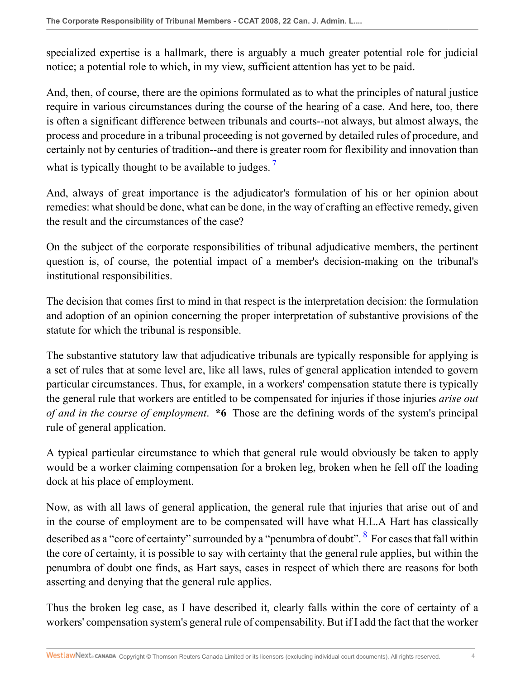specialized expertise is a hallmark, there is arguably a much greater potential role for judicial notice; a potential role to which, in my view, sufficient attention has yet to be paid.

And, then, of course, there are the opinions formulated as to what the principles of natural justice require in various circumstances during the course of the hearing of a case. And here, too, there is often a significant difference between tribunals and courts--not always, but almost always, the process and procedure in a tribunal proceeding is not governed by detailed rules of procedure, and certainly not by centuries of tradition--and there is greater room for flexibility and innovation than what is typically thought to be available to judges.<sup>[7](#page-14-0)</sup>

<span id="page-3-0"></span>And, always of great importance is the adjudicator's formulation of his or her opinion about remedies: what should be done, what can be done, in the way of crafting an effective remedy, given the result and the circumstances of the case?

On the subject of the corporate responsibilities of tribunal adjudicative members, the pertinent question is, of course, the potential impact of a member's decision-making on the tribunal's institutional responsibilities.

The decision that comes first to mind in that respect is the interpretation decision: the formulation and adoption of an opinion concerning the proper interpretation of substantive provisions of the statute for which the tribunal is responsible.

The substantive statutory law that adjudicative tribunals are typically responsible for applying is a set of rules that at some level are, like all laws, rules of general application intended to govern particular circumstances. Thus, for example, in a workers' compensation statute there is typically the general rule that workers are entitled to be compensated for injuries if those injuries *arise out of and in the course of employment*. **\*6** Those are the defining words of the system's principal rule of general application.

A typical particular circumstance to which that general rule would obviously be taken to apply would be a worker claiming compensation for a broken leg, broken when he fell off the loading dock at his place of employment.

<span id="page-3-1"></span>Now, as with all laws of general application, the general rule that injuries that arise out of and in the course of employment are to be compensated will have what H.L.A Hart has classically described as a "core of certainty" surrounded by a "penumbra of doubt". <sup>[8](#page-14-1)</sup> For cases that fall within the core of certainty, it is possible to say with certainty that the general rule applies, but within the penumbra of doubt one finds, as Hart says, cases in respect of which there are reasons for both asserting and denying that the general rule applies.

Thus the broken leg case, as I have described it, clearly falls within the core of certainty of a workers' compensation system's general rule of compensability. But if I add the fact that the worker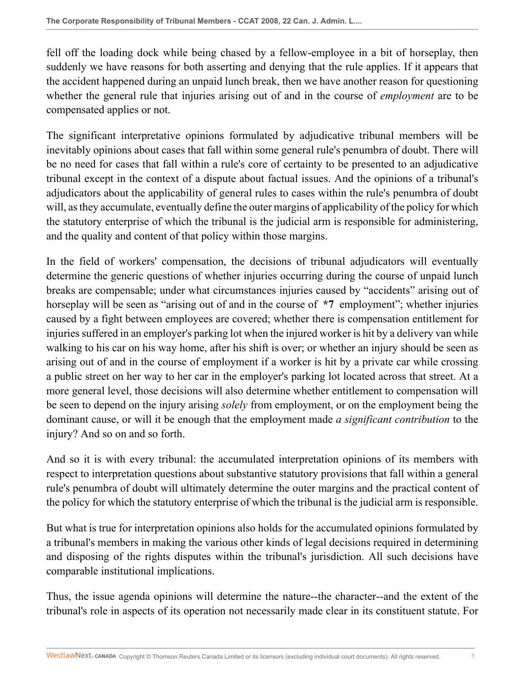fell off the loading dock while being chased by a fellow-employee in a bit of horseplay, then suddenly we have reasons for both asserting and denying that the rule applies. If it appears that the accident happened during an unpaid lunch break, then we have another reason for questioning whether the general rule that injuries arising out of and in the course of *employment* are to be compensated applies or not.

The significant interpretative opinions formulated by adjudicative tribunal members will be inevitably opinions about cases that fall within some general rule's penumbra of doubt. There will be no need for cases that fall within a rule's core of certainty to be presented to an adjudicative tribunal except in the context of a dispute about factual issues. And the opinions of a tribunal's adjudicators about the applicability of general rules to cases within the rule's penumbra of doubt will, as they accumulate, eventually define the outer margins of applicability of the policy for which the statutory enterprise of which the tribunal is the judicial arm is responsible for administering, and the quality and content of that policy within those margins.

In the field of workers' compensation, the decisions of tribunal adjudicators will eventually determine the generic questions of whether injuries occurring during the course of unpaid lunch breaks are compensable; under what circumstances injuries caused by "accidents" arising out of horseplay will be seen as "arising out of and in the course of **\*7** employment"; whether injuries caused by a fight between employees are covered; whether there is compensation entitlement for injuries suffered in an employer's parking lot when the injured worker is hit by a delivery van while walking to his car on his way home, after his shift is over; or whether an injury should be seen as arising out of and in the course of employment if a worker is hit by a private car while crossing a public street on her way to her car in the employer's parking lot located across that street. At a more general level, those decisions will also determine whether entitlement to compensation will be seen to depend on the injury arising *solely* from employment, or on the employment being the dominant cause, or will it be enough that the employment made *a significant contribution* to the injury? And so on and so forth.

And so it is with every tribunal: the accumulated interpretation opinions of its members with respect to interpretation questions about substantive statutory provisions that fall within a general rule's penumbra of doubt will ultimately determine the outer margins and the practical content of the policy for which the statutory enterprise of which the tribunal is the judicial arm is responsible.

But what is true for interpretation opinions also holds for the accumulated opinions formulated by a tribunal's members in making the various other kinds of legal decisions required in determining and disposing of the rights disputes within the tribunal's jurisdiction. All such decisions have comparable institutional implications.

Thus, the issue agenda opinions will determine the nature--the character--and the extent of the tribunal's role in aspects of its operation not necessarily made clear in its constituent statute. For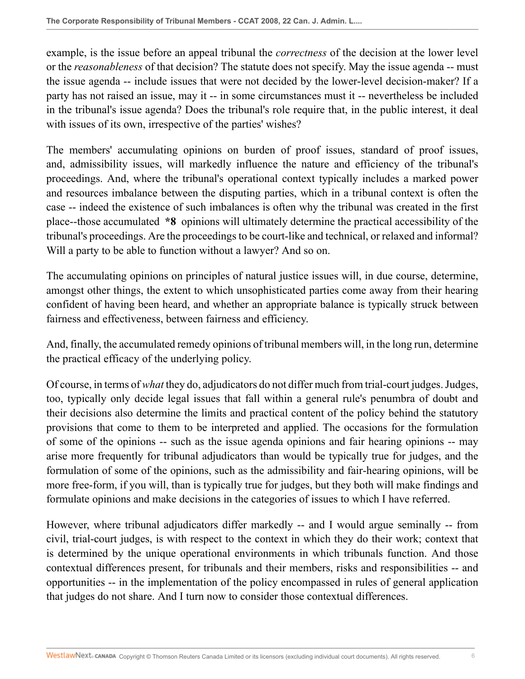example, is the issue before an appeal tribunal the *correctness* of the decision at the lower level or the *reasonableness* of that decision? The statute does not specify. May the issue agenda -- must the issue agenda -- include issues that were not decided by the lower-level decision-maker? If a party has not raised an issue, may it -- in some circumstances must it -- nevertheless be included in the tribunal's issue agenda? Does the tribunal's role require that, in the public interest, it deal with issues of its own, irrespective of the parties' wishes?

The members' accumulating opinions on burden of proof issues, standard of proof issues, and, admissibility issues, will markedly influence the nature and efficiency of the tribunal's proceedings. And, where the tribunal's operational context typically includes a marked power and resources imbalance between the disputing parties, which in a tribunal context is often the case -- indeed the existence of such imbalances is often why the tribunal was created in the first place--those accumulated **\*8** opinions will ultimately determine the practical accessibility of the tribunal's proceedings. Are the proceedings to be court-like and technical, or relaxed and informal? Will a party to be able to function without a lawyer? And so on.

The accumulating opinions on principles of natural justice issues will, in due course, determine, amongst other things, the extent to which unsophisticated parties come away from their hearing confident of having been heard, and whether an appropriate balance is typically struck between fairness and effectiveness, between fairness and efficiency.

And, finally, the accumulated remedy opinions of tribunal members will, in the long run, determine the practical efficacy of the underlying policy.

Of course, in terms of *what* they do, adjudicators do not differ much from trial-court judges. Judges, too, typically only decide legal issues that fall within a general rule's penumbra of doubt and their decisions also determine the limits and practical content of the policy behind the statutory provisions that come to them to be interpreted and applied. The occasions for the formulation of some of the opinions -- such as the issue agenda opinions and fair hearing opinions -- may arise more frequently for tribunal adjudicators than would be typically true for judges, and the formulation of some of the opinions, such as the admissibility and fair-hearing opinions, will be more free-form, if you will, than is typically true for judges, but they both will make findings and formulate opinions and make decisions in the categories of issues to which I have referred.

However, where tribunal adjudicators differ markedly -- and I would argue seminally -- from civil, trial-court judges, is with respect to the context in which they do their work; context that is determined by the unique operational environments in which tribunals function. And those contextual differences present, for tribunals and their members, risks and responsibilities -- and opportunities -- in the implementation of the policy encompassed in rules of general application that judges do not share. And I turn now to consider those contextual differences.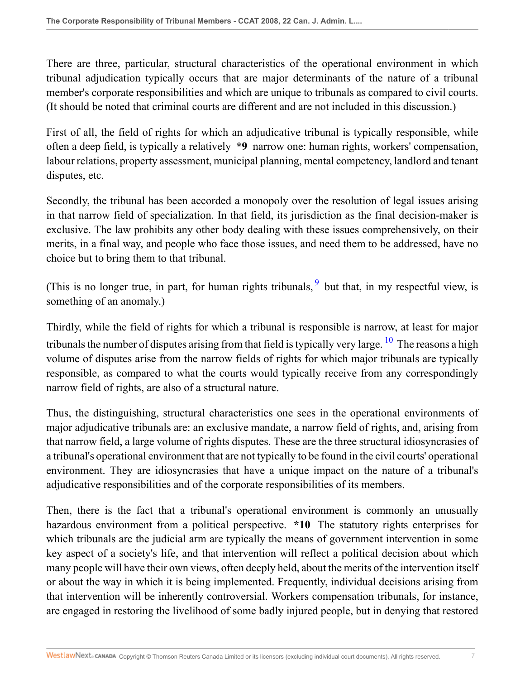There are three, particular, structural characteristics of the operational environment in which tribunal adjudication typically occurs that are major determinants of the nature of a tribunal member's corporate responsibilities and which are unique to tribunals as compared to civil courts. (It should be noted that criminal courts are different and are not included in this discussion.)

First of all, the field of rights for which an adjudicative tribunal is typically responsible, while often a deep field, is typically a relatively **\*9** narrow one: human rights, workers' compensation, labour relations, property assessment, municipal planning, mental competency, landlord and tenant disputes, etc.

Secondly, the tribunal has been accorded a monopoly over the resolution of legal issues arising in that narrow field of specialization. In that field, its jurisdiction as the final decision-maker is exclusive. The law prohibits any other body dealing with these issues comprehensively, on their merits, in a final way, and people who face those issues, and need them to be addressed, have no choice but to bring them to that tribunal.

<span id="page-6-0"></span>(This is no longer true, in part, for human rights tribunals,  $9$  but that, in my respectful view, is something of an anomaly.)

<span id="page-6-1"></span>Thirdly, while the field of rights for which a tribunal is responsible is narrow, at least for major tribunals the number of disputes arising from that field is typically very large.  $10$  The reasons a high volume of disputes arise from the narrow fields of rights for which major tribunals are typically responsible, as compared to what the courts would typically receive from any correspondingly narrow field of rights, are also of a structural nature.

Thus, the distinguishing, structural characteristics one sees in the operational environments of major adjudicative tribunals are: an exclusive mandate, a narrow field of rights, and, arising from that narrow field, a large volume of rights disputes. These are the three structural idiosyncrasies of a tribunal's operational environment that are not typically to be found in the civil courts' operational environment. They are idiosyncrasies that have a unique impact on the nature of a tribunal's adjudicative responsibilities and of the corporate responsibilities of its members.

Then, there is the fact that a tribunal's operational environment is commonly an unusually hazardous environment from a political perspective. **\*10** The statutory rights enterprises for which tribunals are the judicial arm are typically the means of government intervention in some key aspect of a society's life, and that intervention will reflect a political decision about which many people will have their own views, often deeply held, about the merits of the intervention itself or about the way in which it is being implemented. Frequently, individual decisions arising from that intervention will be inherently controversial. Workers compensation tribunals, for instance, are engaged in restoring the livelihood of some badly injured people, but in denying that restored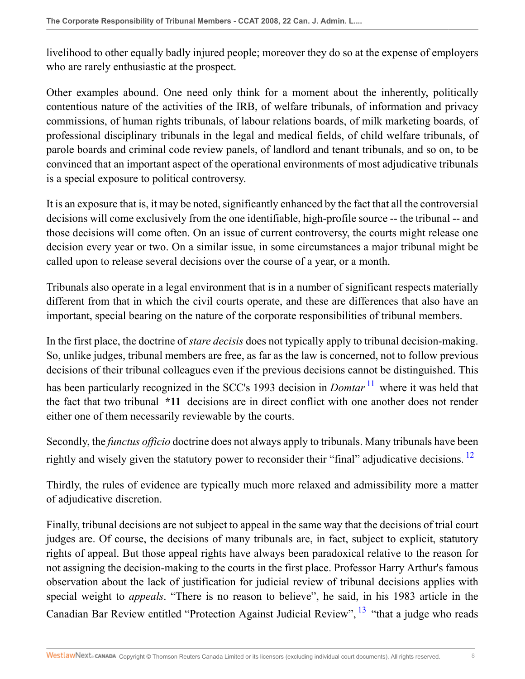livelihood to other equally badly injured people; moreover they do so at the expense of employers who are rarely enthusiastic at the prospect.

Other examples abound. One need only think for a moment about the inherently, politically contentious nature of the activities of the IRB, of welfare tribunals, of information and privacy commissions, of human rights tribunals, of labour relations boards, of milk marketing boards, of professional disciplinary tribunals in the legal and medical fields, of child welfare tribunals, of parole boards and criminal code review panels, of landlord and tenant tribunals, and so on, to be convinced that an important aspect of the operational environments of most adjudicative tribunals is a special exposure to political controversy.

It is an exposure that is, it may be noted, significantly enhanced by the fact that all the controversial decisions will come exclusively from the one identifiable, high-profile source -- the tribunal -- and those decisions will come often. On an issue of current controversy, the courts might release one decision every year or two. On a similar issue, in some circumstances a major tribunal might be called upon to release several decisions over the course of a year, or a month.

Tribunals also operate in a legal environment that is in a number of significant respects materially different from that in which the civil courts operate, and these are differences that also have an important, special bearing on the nature of the corporate responsibilities of tribunal members.

<span id="page-7-0"></span>In the first place, the doctrine of *stare decisis* does not typically apply to tribunal decision-making. So, unlike judges, tribunal members are free, as far as the law is concerned, not to follow previous decisions of their tribunal colleagues even if the previous decisions cannot be distinguished. This has been particularly recognized in the SCC's 1993 decision in *Domtar*<sup>[11](#page-14-4)</sup> where it was held that the fact that two tribunal **\*11** decisions are in direct conflict with one another does not render either one of them necessarily reviewable by the courts.

<span id="page-7-1"></span>Secondly, the *functus officio* doctrine does not always apply to tribunals. Many tribunals have been rightly and wisely given the statutory power to reconsider their "final" adjudicative decisions.  $^{12}$  $^{12}$  $^{12}$ 

Thirdly, the rules of evidence are typically much more relaxed and admissibility more a matter of adjudicative discretion.

<span id="page-7-2"></span>Finally, tribunal decisions are not subject to appeal in the same way that the decisions of trial court judges are. Of course, the decisions of many tribunals are, in fact, subject to explicit, statutory rights of appeal. But those appeal rights have always been paradoxical relative to the reason for not assigning the decision-making to the courts in the first place. Professor Harry Arthur's famous observation about the lack of justification for judicial review of tribunal decisions applies with special weight to *appeals*. "There is no reason to believe", he said, in his 1983 article in the Canadian Bar Review entitled "Protection Against Judicial Review", <sup>[13](#page-14-6)</sup> "that a judge who reads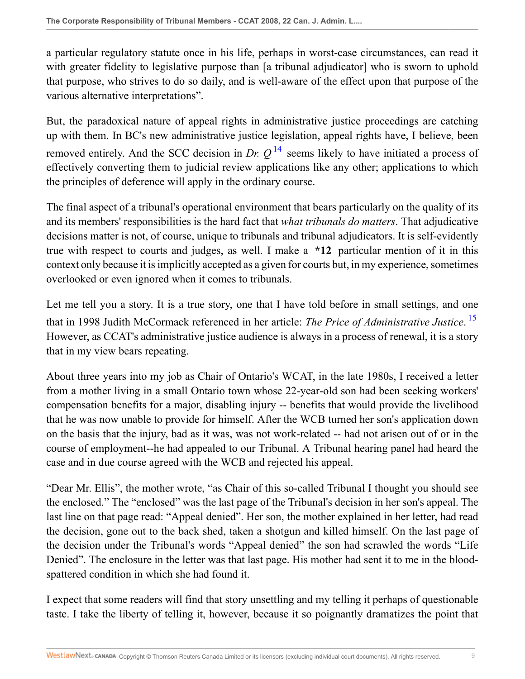a particular regulatory statute once in his life, perhaps in worst-case circumstances, can read it with greater fidelity to legislative purpose than [a tribunal adjudicator] who is sworn to uphold that purpose, who strives to do so daily, and is well-aware of the effect upon that purpose of the various alternative interpretations".

<span id="page-8-0"></span>But, the paradoxical nature of appeal rights in administrative justice proceedings are catching up with them. In BC's new administrative justice legislation, appeal rights have, I believe, been removed entirely. And the SCC decision in *Dr.*  $Q^{14}$  $Q^{14}$  $Q^{14}$  seems likely to have initiated a process of effectively converting them to judicial review applications like any other; applications to which the principles of deference will apply in the ordinary course.

The final aspect of a tribunal's operational environment that bears particularly on the quality of its and its members' responsibilities is the hard fact that *what tribunals do matters*. That adjudicative decisions matter is not, of course, unique to tribunals and tribunal adjudicators. It is self-evidently true with respect to courts and judges, as well. I make a **\*12** particular mention of it in this context only because it is implicitly accepted as a given for courts but, in my experience, sometimes overlooked or even ignored when it comes to tribunals.

<span id="page-8-1"></span>Let me tell you a story. It is a true story, one that I have told before in small settings, and one that in 1998 Judith McCormack referenced in her article: *The Price of Administrative Justice*. [15](#page-14-8) However, as CCAT's administrative justice audience is always in a process of renewal, it is a story that in my view bears repeating.

About three years into my job as Chair of Ontario's WCAT, in the late 1980s, I received a letter from a mother living in a small Ontario town whose 22-year-old son had been seeking workers' compensation benefits for a major, disabling injury -- benefits that would provide the livelihood that he was now unable to provide for himself. After the WCB turned her son's application down on the basis that the injury, bad as it was, was not work-related -- had not arisen out of or in the course of employment--he had appealed to our Tribunal. A Tribunal hearing panel had heard the case and in due course agreed with the WCB and rejected his appeal.

"Dear Mr. Ellis", the mother wrote, "as Chair of this so-called Tribunal I thought you should see the enclosed." The "enclosed" was the last page of the Tribunal's decision in her son's appeal. The last line on that page read: "Appeal denied". Her son, the mother explained in her letter, had read the decision, gone out to the back shed, taken a shotgun and killed himself. On the last page of the decision under the Tribunal's words "Appeal denied" the son had scrawled the words "Life Denied". The enclosure in the letter was that last page. His mother had sent it to me in the bloodspattered condition in which she had found it.

I expect that some readers will find that story unsettling and my telling it perhaps of questionable taste. I take the liberty of telling it, however, because it so poignantly dramatizes the point that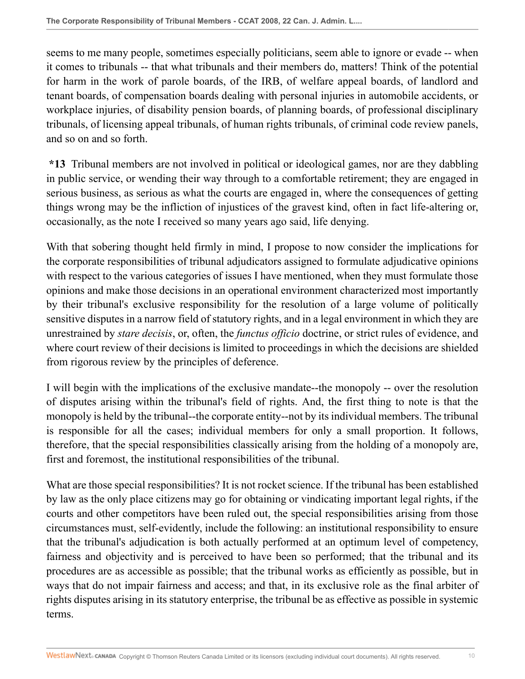seems to me many people, sometimes especially politicians, seem able to ignore or evade -- when it comes to tribunals -- that what tribunals and their members do, matters! Think of the potential for harm in the work of parole boards, of the IRB, of welfare appeal boards, of landlord and tenant boards, of compensation boards dealing with personal injuries in automobile accidents, or workplace injuries, of disability pension boards, of planning boards, of professional disciplinary tribunals, of licensing appeal tribunals, of human rights tribunals, of criminal code review panels, and so on and so forth.

**\*13** Tribunal members are not involved in political or ideological games, nor are they dabbling in public service, or wending their way through to a comfortable retirement; they are engaged in serious business, as serious as what the courts are engaged in, where the consequences of getting things wrong may be the infliction of injustices of the gravest kind, often in fact life-altering or, occasionally, as the note I received so many years ago said, life denying.

With that sobering thought held firmly in mind, I propose to now consider the implications for the corporate responsibilities of tribunal adjudicators assigned to formulate adjudicative opinions with respect to the various categories of issues I have mentioned, when they must formulate those opinions and make those decisions in an operational environment characterized most importantly by their tribunal's exclusive responsibility for the resolution of a large volume of politically sensitive disputes in a narrow field of statutory rights, and in a legal environment in which they are unrestrained by *stare decisis*, or, often, the *functus officio* doctrine, or strict rules of evidence, and where court review of their decisions is limited to proceedings in which the decisions are shielded from rigorous review by the principles of deference.

I will begin with the implications of the exclusive mandate--the monopoly -- over the resolution of disputes arising within the tribunal's field of rights. And, the first thing to note is that the monopoly is held by the tribunal--the corporate entity--not by its individual members. The tribunal is responsible for all the cases; individual members for only a small proportion. It follows, therefore, that the special responsibilities classically arising from the holding of a monopoly are, first and foremost, the institutional responsibilities of the tribunal.

What are those special responsibilities? It is not rocket science. If the tribunal has been established by law as the only place citizens may go for obtaining or vindicating important legal rights, if the courts and other competitors have been ruled out, the special responsibilities arising from those circumstances must, self-evidently, include the following: an institutional responsibility to ensure that the tribunal's adjudication is both actually performed at an optimum level of competency, fairness and objectivity and is perceived to have been so performed; that the tribunal and its procedures are as accessible as possible; that the tribunal works as efficiently as possible, but in ways that do not impair fairness and access; and that, in its exclusive role as the final arbiter of rights disputes arising in its statutory enterprise, the tribunal be as effective as possible in systemic terms.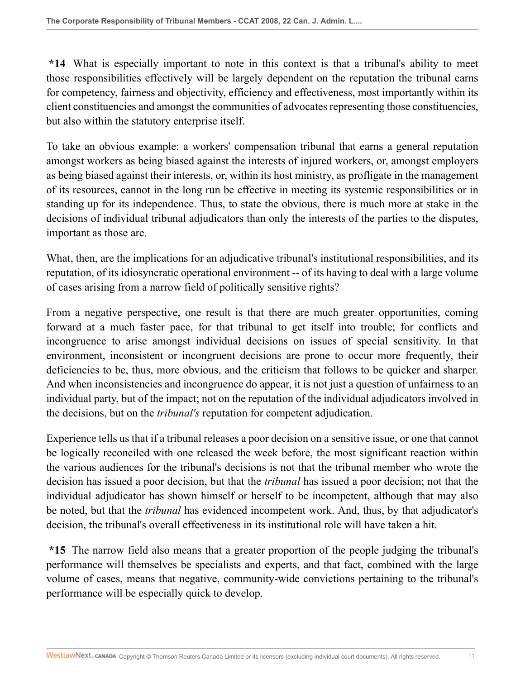**\*14** What is especially important to note in this context is that a tribunal's ability to meet those responsibilities effectively will be largely dependent on the reputation the tribunal earns for competency, fairness and objectivity, efficiency and effectiveness, most importantly within its client constituencies and amongst the communities of advocates representing those constituencies, but also within the statutory enterprise itself.

To take an obvious example: a workers' compensation tribunal that earns a general reputation amongst workers as being biased against the interests of injured workers, or, amongst employers as being biased against their interests, or, within its host ministry, as profligate in the management of its resources, cannot in the long run be effective in meeting its systemic responsibilities or in standing up for its independence. Thus, to state the obvious, there is much more at stake in the decisions of individual tribunal adjudicators than only the interests of the parties to the disputes, important as those are.

What, then, are the implications for an adjudicative tribunal's institutional responsibilities, and its reputation, of its idiosyncratic operational environment -- of its having to deal with a large volume of cases arising from a narrow field of politically sensitive rights?

From a negative perspective, one result is that there are much greater opportunities, coming forward at a much faster pace, for that tribunal to get itself into trouble; for conflicts and incongruence to arise amongst individual decisions on issues of special sensitivity. In that environment, inconsistent or incongruent decisions are prone to occur more frequently, their deficiencies to be, thus, more obvious, and the criticism that follows to be quicker and sharper. And when inconsistencies and incongruence do appear, it is not just a question of unfairness to an individual party, but of the impact; not on the reputation of the individual adjudicators involved in the decisions, but on the *tribunal's* reputation for competent adjudication.

Experience tells us that if a tribunal releases a poor decision on a sensitive issue, or one that cannot be logically reconciled with one released the week before, the most significant reaction within the various audiences for the tribunal's decisions is not that the tribunal member who wrote the decision has issued a poor decision, but that the *tribunal* has issued a poor decision; not that the individual adjudicator has shown himself or herself to be incompetent, although that may also be noted, but that the *tribunal* has evidenced incompetent work. And, thus, by that adjudicator's decision, the tribunal's overall effectiveness in its institutional role will have taken a hit.

**\*15** The narrow field also means that a greater proportion of the people judging the tribunal's performance will themselves be specialists and experts, and that fact, combined with the large volume of cases, means that negative, community-wide convictions pertaining to the tribunal's performance will be especially quick to develop.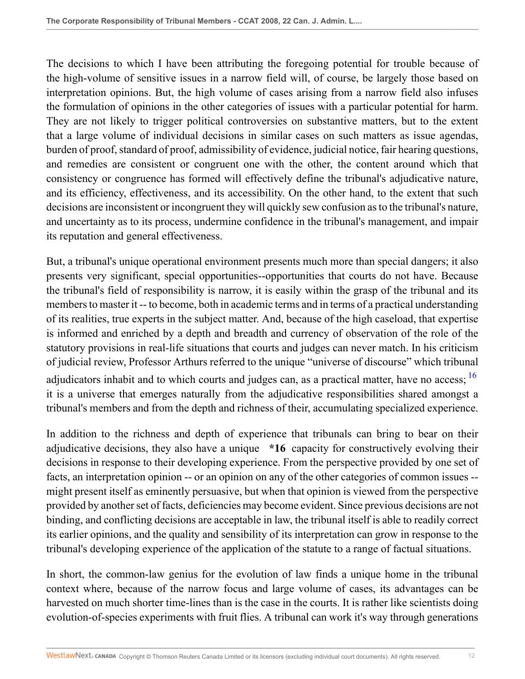The decisions to which I have been attributing the foregoing potential for trouble because of the high-volume of sensitive issues in a narrow field will, of course, be largely those based on interpretation opinions. But, the high volume of cases arising from a narrow field also infuses the formulation of opinions in the other categories of issues with a particular potential for harm. They are not likely to trigger political controversies on substantive matters, but to the extent that a large volume of individual decisions in similar cases on such matters as issue agendas, burden of proof, standard of proof, admissibility of evidence, judicial notice, fair hearing questions, and remedies are consistent or congruent one with the other, the content around which that consistency or congruence has formed will effectively define the tribunal's adjudicative nature, and its efficiency, effectiveness, and its accessibility. On the other hand, to the extent that such decisions are inconsistent or incongruent they will quickly sew confusion as to the tribunal's nature, and uncertainty as to its process, undermine confidence in the tribunal's management, and impair its reputation and general effectiveness.

But, a tribunal's unique operational environment presents much more than special dangers; it also presents very significant, special opportunities--opportunities that courts do not have. Because the tribunal's field of responsibility is narrow, it is easily within the grasp of the tribunal and its members to master it -- to become, both in academic terms and in terms of a practical understanding of its realities, true experts in the subject matter. And, because of the high caseload, that expertise is informed and enriched by a depth and breadth and currency of observation of the role of the statutory provisions in real-life situations that courts and judges can never match. In his criticism of judicial review, Professor Arthurs referred to the unique "universe of discourse" which tribunal adjudicators inhabit and to which courts and judges can, as a practical matter, have no access:  $\frac{16}{16}$  $\frac{16}{16}$  $\frac{16}{16}$ it is a universe that emerges naturally from the adjudicative responsibilities shared amongst a tribunal's members and from the depth and richness of their, accumulating specialized experience.

<span id="page-11-0"></span>In addition to the richness and depth of experience that tribunals can bring to bear on their adjudicative decisions, they also have a unique **\*16** capacity for constructively evolving their decisions in response to their developing experience. From the perspective provided by one set of facts, an interpretation opinion -- or an opinion on any of the other categories of common issues - might present itself as eminently persuasive, but when that opinion is viewed from the perspective provided by another set of facts, deficiencies may become evident. Since previous decisions are not binding, and conflicting decisions are acceptable in law, the tribunal itself is able to readily correct its earlier opinions, and the quality and sensibility of its interpretation can grow in response to the tribunal's developing experience of the application of the statute to a range of factual situations.

In short, the common-law genius for the evolution of law finds a unique home in the tribunal context where, because of the narrow focus and large volume of cases, its advantages can be harvested on much shorter time-lines than is the case in the courts. It is rather like scientists doing evolution-of-species experiments with fruit flies. A tribunal can work it's way through generations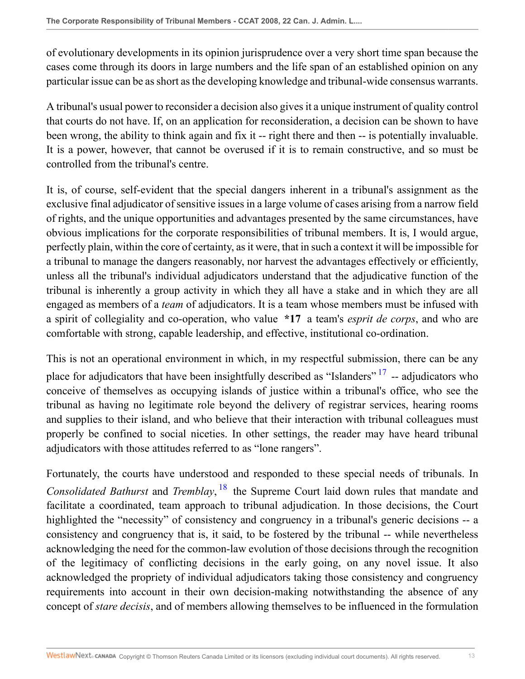of evolutionary developments in its opinion jurisprudence over a very short time span because the cases come through its doors in large numbers and the life span of an established opinion on any particular issue can be as short as the developing knowledge and tribunal-wide consensus warrants.

A tribunal's usual power to reconsider a decision also gives it a unique instrument of quality control that courts do not have. If, on an application for reconsideration, a decision can be shown to have been wrong, the ability to think again and fix it -- right there and then -- is potentially invaluable. It is a power, however, that cannot be overused if it is to remain constructive, and so must be controlled from the tribunal's centre.

It is, of course, self-evident that the special dangers inherent in a tribunal's assignment as the exclusive final adjudicator of sensitive issues in a large volume of cases arising from a narrow field of rights, and the unique opportunities and advantages presented by the same circumstances, have obvious implications for the corporate responsibilities of tribunal members. It is, I would argue, perfectly plain, within the core of certainty, as it were, that in such a context it will be impossible for a tribunal to manage the dangers reasonably, nor harvest the advantages effectively or efficiently, unless all the tribunal's individual adjudicators understand that the adjudicative function of the tribunal is inherently a group activity in which they all have a stake and in which they are all engaged as members of a *team* of adjudicators. It is a team whose members must be infused with a spirit of collegiality and co-operation, who value **\*17** a team's *esprit de corps*, and who are comfortable with strong, capable leadership, and effective, institutional co-ordination.

<span id="page-12-0"></span>This is not an operational environment in which, in my respectful submission, there can be any place for adjudicators that have been insightfully described as "Islanders"  $17$  -- adjudicators who conceive of themselves as occupying islands of justice within a tribunal's office, who see the tribunal as having no legitimate role beyond the delivery of registrar services, hearing rooms and supplies to their island, and who believe that their interaction with tribunal colleagues must properly be confined to social niceties. In other settings, the reader may have heard tribunal adjudicators with those attitudes referred to as "lone rangers".

<span id="page-12-1"></span>Fortunately, the courts have understood and responded to these special needs of tribunals. In *Consolidated Bathurst* and *Tremblay*, [18](#page-14-11) the Supreme Court laid down rules that mandate and facilitate a coordinated, team approach to tribunal adjudication. In those decisions, the Court highlighted the "necessity" of consistency and congruency in a tribunal's generic decisions -- a consistency and congruency that is, it said, to be fostered by the tribunal -- while nevertheless acknowledging the need for the common-law evolution of those decisions through the recognition of the legitimacy of conflicting decisions in the early going, on any novel issue. It also acknowledged the propriety of individual adjudicators taking those consistency and congruency requirements into account in their own decision-making notwithstanding the absence of any concept of *stare decisis*, and of members allowing themselves to be influenced in the formulation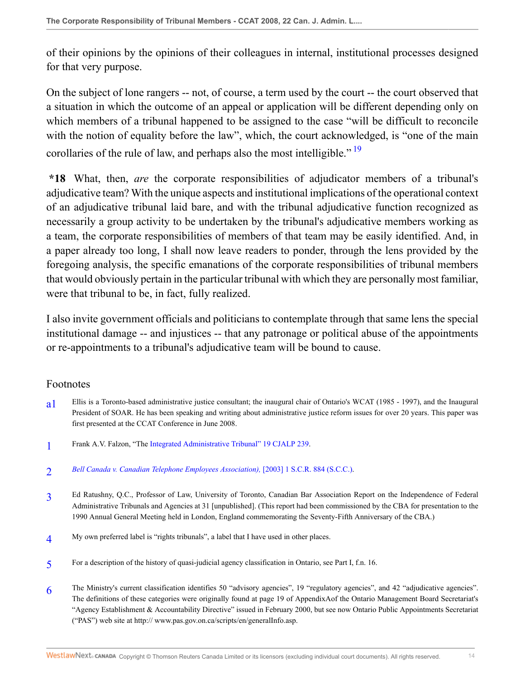of their opinions by the opinions of their colleagues in internal, institutional processes designed for that very purpose.

On the subject of lone rangers -- not, of course, a term used by the court -- the court observed that a situation in which the outcome of an appeal or application will be different depending only on which members of a tribunal happened to be assigned to the case "will be difficult to reconcile with the notion of equality before the law", which, the court acknowledged, is "one of the main corollaries of the rule of law, and perhaps also the most intelligible."  $\frac{19}{2}$  $\frac{19}{2}$  $\frac{19}{2}$ 

<span id="page-13-7"></span>**\*18** What, then, *are* the corporate responsibilities of adjudicator members of a tribunal's adjudicative team? With the unique aspects and institutional implications of the operational context of an adjudicative tribunal laid bare, and with the tribunal adjudicative function recognized as necessarily a group activity to be undertaken by the tribunal's adjudicative members working as a team, the corporate responsibilities of members of that team may be easily identified. And, in a paper already too long, I shall now leave readers to ponder, through the lens provided by the foregoing analysis, the specific emanations of the corporate responsibilities of tribunal members that would obviously pertain in the particular tribunal with which they are personally most familiar, were that tribunal to be, in fact, fully realized.

I also invite government officials and politicians to contemplate through that same lens the special institutional damage -- and injustices -- that any patronage or political abuse of the appointments or re-appointments to a tribunal's adjudicative team will be bound to cause.

## Footnotes

- <span id="page-13-0"></span>[a1](#page-0-0) Ellis is a Toronto-based administrative justice consultant; the inaugural chair of Ontario's WCAT (1985 - 1997), and the Inaugural President of SOAR. He has been speaking and writing about administrative justice reform issues for over 20 years. This paper was first presented at the CCAT Conference in June 2008.
- <span id="page-13-1"></span>[1](#page-0-1) Frank A.V. Falzon, "The [Integrated Administrative Tribunal" 19 CJALP 239](http://nextcanada.westlaw.com/Link/Document/FullText?findType=Y&serNum=0327806866&pubNum=135178&originatingDoc=I0dd9aeda07b811deb055de4196f001f3&refType=LR&originationContext=document&vr=3.0&rs=cblt1.0&transitionType=DocumentItem&contextData=(sc.Search)).
- <span id="page-13-2"></span> $\overline{2}$  $\overline{2}$  $\overline{2}$ *[Bell Canada v. Canadian Telephone Employees Association\),](http://nextcanada.westlaw.com/Link/Document/FullText?findType=Y&serNum=2003060286&pubNum=5156&originatingDoc=I0dd9aeda07b811deb055de4196f001f3&refType=IC&originationContext=document&vr=3.0&rs=cblt1.0&transitionType=DocumentItem&contextData=(sc.Search))* [2003] 1 S.C.R. 884 (S.C.C.).
- <span id="page-13-3"></span>[3](#page-1-0) Ed Ratushny, Q.C., Professor of Law, University of Toronto, Canadian Bar Association Report on the Independence of Federal Administrative Tribunals and Agencies at 31 [unpublished]. (This report had been commissioned by the CBA for presentation to the 1990 Annual General Meeting held in London, England commemorating the Seventy-Fifth Anniversary of the CBA.)
- <span id="page-13-4"></span>[4](#page-1-1) My own preferred label is "rights tribunals", a label that I have used in other places.
- <span id="page-13-5"></span>[5](#page-1-2) For a description of the history of quasi-judicial agency classification in Ontario, see Part I, f.n. 16.
- <span id="page-13-6"></span>[6](#page-1-3) The Ministry's current classification identifies 50 "advisory agencies", 19 "regulatory agencies", and 42 "adjudicative agencies". The definitions of these categories were originally found at page 19 of AppendixAof the Ontario Management Board Secretariat's "Agency Establishment & Accountability Directive" issued in February 2000, but see now Ontario Public Appointments Secretariat ("PAS") web site at http:// www.pas.gov.on.ca/scripts/en/generalInfo.asp.